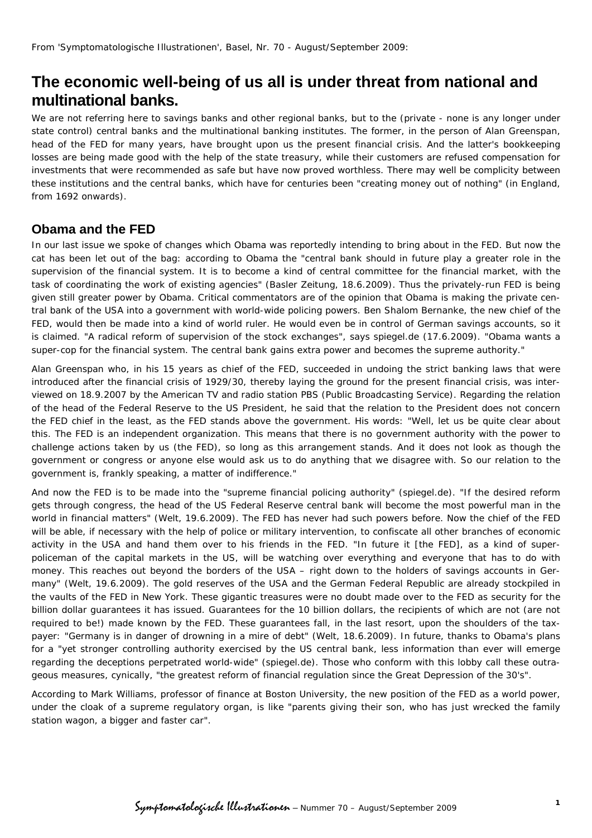## **The economic well-being of us all is under threat from national and multinational banks.**

We are not referring here to savings banks and other regional banks, but to the (private - none is any longer under state control) central banks and the multinational banking institutes. The former, in the person of Alan Greenspan, head of the FED for many years, have brought upon us the present financial crisis. And the latter's bookkeeping losses are being made good with the help of the state treasury, while their customers are refused compensation for investments that were recommended as safe but have now proved worthless. There may well be complicity between these institutions and the central banks, which have for centuries been "creating money out of nothing" (in England, from 1692 onwards).

## **Obama and the FED**

In our last issue we spoke of changes which Obama was reportedly intending to bring about in the FED. But now the cat has been let out of the bag: according to Obama the "central bank should in future play a greater role in the supervision of the financial system. It is to become a kind of central committee for the financial market, with the task of coordinating the work of existing agencies" (*Basler Zeitung*, 18.6.2009). Thus the privately-run FED is being given still greater power by Obama. Critical commentators are of the opinion that Obama is making the private central bank of the USA into a government with world-wide policing powers. Ben Shalom Bernanke, the new chief of the FED, would then be made into a kind of world ruler. He would even be in control of German savings accounts, so it is claimed. "A radical reform of supervision of the stock exchanges", says *spiegel.de* (17.6.2009). "Obama wants a super-cop for the financial system. The central bank gains extra power and becomes the supreme authority."

Alan Greenspan who, in his 15 years as chief of the FED, succeeded in undoing the strict banking laws that were introduced after the financial crisis of 1929/30, thereby laying the ground for the present financial crisis, was interviewed on 18.9.2007 by the American TV and radio station PBS (Public Broadcasting Service). Regarding the relation of the head of the Federal Reserve to the US President, he said that the relation to the President does not concern the FED chief in the least, as the FED stands above the government. His words: "Well, let us be quite clear about this. The FED is an independent organization. This means that there is no government authority with the power to challenge actions taken by us (the FED), so long as this arrangement stands. And it does not look as though the government or congress or anyone else would ask us to do anything that we disagree with. So our relation to the government is, frankly speaking, a matter of indifference."

And now the FED is to be made into the "supreme financial policing authority" *(spiegel.de).* "If the desired reform gets through congress, the head of the US Federal Reserve central bank will become the most powerful man in the world in financial matters" *(Welt,* 19.6.2009). The FED has never had such powers before. Now the chief of the FED will be able, if necessary with the help of police or military intervention, to confiscate all other branches of economic activity in the USA and hand them over to his friends in the FED. "In future it [the FED], as a kind of superpoliceman of the capital markets in the US, will be watching over everything and everyone that has to do with money. This reaches out beyond the borders of the USA – right down to the holders of savings accounts in Germany" *(Welt,* 19.6.2009). The gold reserves of the USA and the German Federal Republic are already stockpiled in the vaults of the FED in New York. These gigantic treasures were no doubt made over to the FED as security for the billion dollar guarantees it has issued. Guarantees for the 10 billion dollars, the recipients of which are not (are not required to be!) made known by the FED. These guarantees fall, in the last resort, upon the shoulders of the taxpayer: "Germany is in danger of drowning in a mire of debt" *(Welt,* 18.6.2009). In future, thanks to Obama's plans for a "yet stronger controlling authority exercised by the US central bank, less information than ever will emerge regarding the deceptions perpetrated world-wide" *(spiegel.de).* Those who conform with this lobby call these outrageous measures, cynically, "the greatest reform of financial regulation since the Great Depression of the 30's".

According to Mark Williams, professor of finance at Boston University, the new position of the FED as a world power, under the cloak of a supreme regulatory organ, is like "parents giving their son, who has just wrecked the family station wagon, a bigger and faster car".